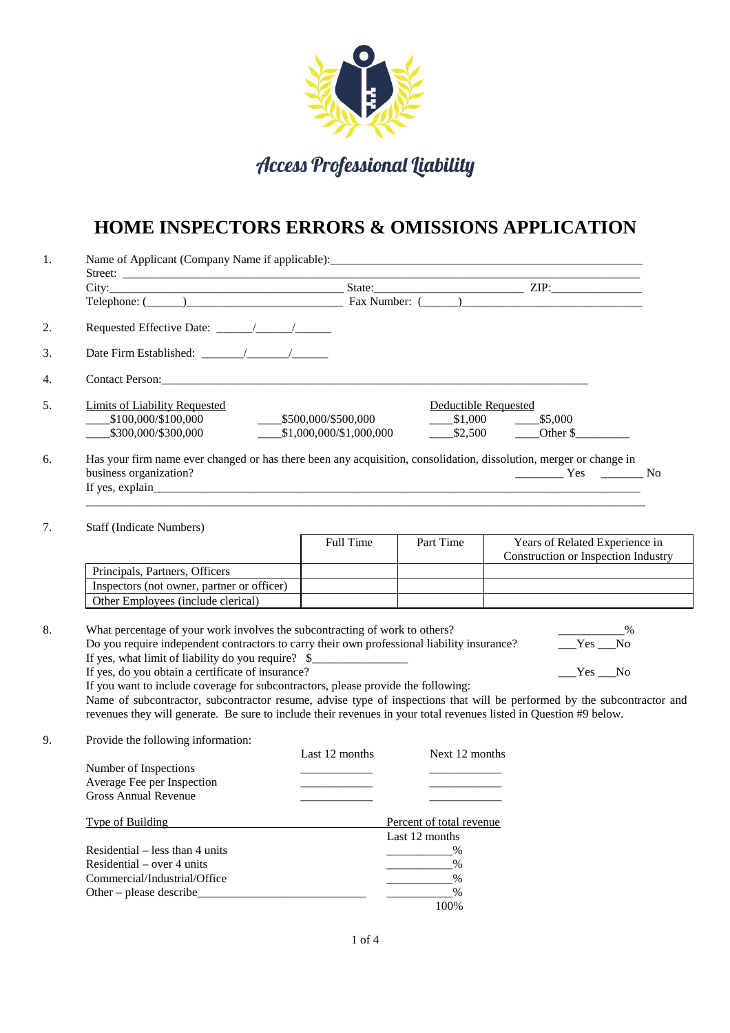

Access Professional Liability

## **HOME INSPECTORS ERRORS & OMISSIONS APPLICATION**

| 1. |                                                                                                                                                                                                                                                                                                                                                                                                                                                                                                                                                                                                                                                                                                 |                                                          |                          |                                                                       |  |  |  |
|----|-------------------------------------------------------------------------------------------------------------------------------------------------------------------------------------------------------------------------------------------------------------------------------------------------------------------------------------------------------------------------------------------------------------------------------------------------------------------------------------------------------------------------------------------------------------------------------------------------------------------------------------------------------------------------------------------------|----------------------------------------------------------|--------------------------|-----------------------------------------------------------------------|--|--|--|
|    |                                                                                                                                                                                                                                                                                                                                                                                                                                                                                                                                                                                                                                                                                                 |                                                          |                          |                                                                       |  |  |  |
|    |                                                                                                                                                                                                                                                                                                                                                                                                                                                                                                                                                                                                                                                                                                 |                                                          |                          |                                                                       |  |  |  |
| 2. |                                                                                                                                                                                                                                                                                                                                                                                                                                                                                                                                                                                                                                                                                                 |                                                          |                          |                                                                       |  |  |  |
|    |                                                                                                                                                                                                                                                                                                                                                                                                                                                                                                                                                                                                                                                                                                 |                                                          |                          |                                                                       |  |  |  |
|    |                                                                                                                                                                                                                                                                                                                                                                                                                                                                                                                                                                                                                                                                                                 |                                                          |                          |                                                                       |  |  |  |
| 5. | <b>Limits of Liability Requested</b><br>Deductible Requested                                                                                                                                                                                                                                                                                                                                                                                                                                                                                                                                                                                                                                    |                                                          |                          |                                                                       |  |  |  |
|    | $\begin{array}{r} -0.5100,000/100,000 \ -0.5300,000/3300,000 \end{array}$                                                                                                                                                                                                                                                                                                                                                                                                                                                                                                                                                                                                                       | $5500,000/$ \$500,000<br>--------\$1,000,000/\$1,000,000 |                          | $$1,000$ $$5,000$<br>$$2,500$ Other \$                                |  |  |  |
| 6. | Has your firm name ever changed or has there been any acquisition, consolidation, dissolution, merger or change in<br>business organization?                                                                                                                                                                                                                                                                                                                                                                                                                                                                                                                                                    |                                                          |                          | $Yes$ No                                                              |  |  |  |
|    |                                                                                                                                                                                                                                                                                                                                                                                                                                                                                                                                                                                                                                                                                                 |                                                          |                          |                                                                       |  |  |  |
| 7. | <b>Staff (Indicate Numbers)</b>                                                                                                                                                                                                                                                                                                                                                                                                                                                                                                                                                                                                                                                                 | Full Time                                                | Part Time                | Years of Related Experience in<br>Construction or Inspection Industry |  |  |  |
|    | Principals, Partners, Officers                                                                                                                                                                                                                                                                                                                                                                                                                                                                                                                                                                                                                                                                  |                                                          |                          |                                                                       |  |  |  |
|    | Inspectors (not owner, partner or officer)                                                                                                                                                                                                                                                                                                                                                                                                                                                                                                                                                                                                                                                      |                                                          |                          |                                                                       |  |  |  |
|    | Other Employees (include clerical)                                                                                                                                                                                                                                                                                                                                                                                                                                                                                                                                                                                                                                                              |                                                          |                          |                                                                       |  |  |  |
|    | What percentage of your work involves the subcontracting of work to others?<br>$\sim$ $\sim$ $\sim$ $\sim$<br>Do you require independent contractors to carry their own professional liability insurance?<br>$Yes$ No<br>If yes, what limit of liability do you require? \$<br>If yes, do you obtain a certificate of insurance?<br>$Yes$ <sub>_</sub> No<br>If you want to include coverage for subcontractors, please provide the following:<br>Name of subcontractor, subcontractor resume, advise type of inspections that will be performed by the subcontractor and<br>revenues they will generate. Be sure to include their revenues in your total revenues listed in Question #9 below. |                                                          |                          |                                                                       |  |  |  |
|    | Provide the following information:                                                                                                                                                                                                                                                                                                                                                                                                                                                                                                                                                                                                                                                              | Last 12 months                                           | Next 12 months           |                                                                       |  |  |  |
|    | Number of Inspections                                                                                                                                                                                                                                                                                                                                                                                                                                                                                                                                                                                                                                                                           |                                                          |                          |                                                                       |  |  |  |
|    | Average Fee per Inspection<br><b>Gross Annual Revenue</b>                                                                                                                                                                                                                                                                                                                                                                                                                                                                                                                                                                                                                                       |                                                          |                          |                                                                       |  |  |  |
|    | Type of Building                                                                                                                                                                                                                                                                                                                                                                                                                                                                                                                                                                                                                                                                                |                                                          | Percent of total revenue |                                                                       |  |  |  |
|    |                                                                                                                                                                                                                                                                                                                                                                                                                                                                                                                                                                                                                                                                                                 |                                                          |                          |                                                                       |  |  |  |
|    |                                                                                                                                                                                                                                                                                                                                                                                                                                                                                                                                                                                                                                                                                                 |                                                          | Last 12 months           |                                                                       |  |  |  |
|    | Residential – less than 4 units                                                                                                                                                                                                                                                                                                                                                                                                                                                                                                                                                                                                                                                                 |                                                          | $\%$                     |                                                                       |  |  |  |
|    | Residential – over 4 units<br>Commercial/Industrial/Office                                                                                                                                                                                                                                                                                                                                                                                                                                                                                                                                                                                                                                      |                                                          | $\%$<br>$\%$             |                                                                       |  |  |  |

100%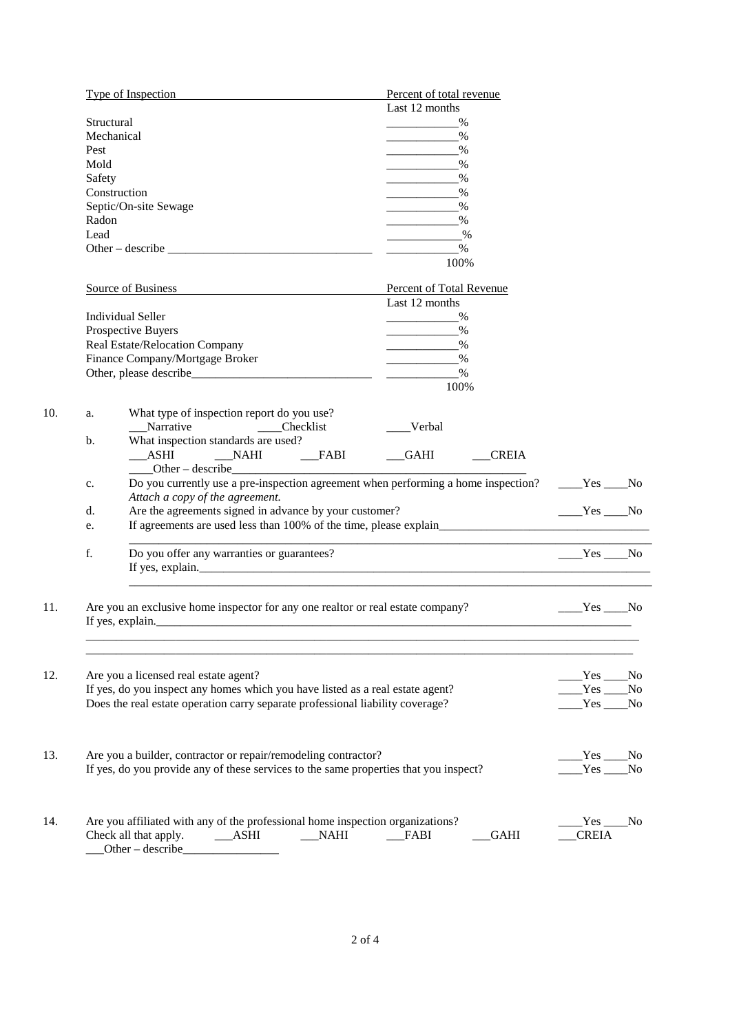|     | Type of Inspection                                                                    |                                                                                                    | Percent of total revenue                                                                                                                                                                                                                                                                |              |                |  |  |
|-----|---------------------------------------------------------------------------------------|----------------------------------------------------------------------------------------------------|-----------------------------------------------------------------------------------------------------------------------------------------------------------------------------------------------------------------------------------------------------------------------------------------|--------------|----------------|--|--|
|     |                                                                                       |                                                                                                    | Last 12 months                                                                                                                                                                                                                                                                          |              |                |  |  |
|     | Structural                                                                            |                                                                                                    |                                                                                                                                                                                                                                                                                         |              |                |  |  |
|     |                                                                                       | Mechanical                                                                                         | $\sim$ $\sim$ $\sim$ $\sim$                                                                                                                                                                                                                                                             |              |                |  |  |
|     | Pest                                                                                  |                                                                                                    | $\sim$ $\sim$ $\sim$ $\sim$                                                                                                                                                                                                                                                             |              |                |  |  |
|     | Mold                                                                                  |                                                                                                    | $\frac{9}{6}$                                                                                                                                                                                                                                                                           |              |                |  |  |
|     | Safety                                                                                |                                                                                                    | $\%$<br>$\label{eq:2.1} \frac{1}{\sqrt{2}}\int_{\mathbb{R}^3}\frac{1}{\sqrt{2}}\left(\frac{1}{\sqrt{2}}\right)^2\left(\frac{1}{\sqrt{2}}\right)^2\left(\frac{1}{\sqrt{2}}\right)^2\left(\frac{1}{\sqrt{2}}\right)^2\left(\frac{1}{\sqrt{2}}\right)^2\left(\frac{1}{\sqrt{2}}\right)^2.$ |              |                |  |  |
|     |                                                                                       | Construction                                                                                       | $\%$                                                                                                                                                                                                                                                                                    |              |                |  |  |
|     |                                                                                       | Septic/On-site Sewage                                                                              | $\%$                                                                                                                                                                                                                                                                                    |              |                |  |  |
|     | Radon                                                                                 |                                                                                                    | $\frac{0}{0}$<br>$\%$                                                                                                                                                                                                                                                                   |              |                |  |  |
|     | Lead                                                                                  |                                                                                                    |                                                                                                                                                                                                                                                                                         |              |                |  |  |
|     |                                                                                       |                                                                                                    | $\%$                                                                                                                                                                                                                                                                                    |              |                |  |  |
|     |                                                                                       |                                                                                                    | 100%                                                                                                                                                                                                                                                                                    |              |                |  |  |
|     |                                                                                       | <b>Source of Business</b>                                                                          | <b>Percent of Total Revenue</b>                                                                                                                                                                                                                                                         |              |                |  |  |
|     |                                                                                       |                                                                                                    | Last 12 months                                                                                                                                                                                                                                                                          |              |                |  |  |
|     |                                                                                       | <b>Individual Seller</b>                                                                           |                                                                                                                                                                                                                                                                                         |              |                |  |  |
|     |                                                                                       |                                                                                                    | $\%$                                                                                                                                                                                                                                                                                    |              |                |  |  |
|     |                                                                                       | Prospective Buyers<br>Real Estate/Relocation Company                                               | $\%$                                                                                                                                                                                                                                                                                    |              |                |  |  |
|     |                                                                                       |                                                                                                    |                                                                                                                                                                                                                                                                                         |              |                |  |  |
|     |                                                                                       | Finance Company/Mortgage Broker                                                                    | $\%$<br><u> Alexandria de Alexandria de Alexandria de Alexandria de Alexandria de Alexandria de Alexandria de Alexandria </u>                                                                                                                                                           |              |                |  |  |
|     |                                                                                       |                                                                                                    | $\sim$ $\sim$ $\sim$ $\sim$                                                                                                                                                                                                                                                             |              |                |  |  |
|     |                                                                                       |                                                                                                    | 100%                                                                                                                                                                                                                                                                                    |              |                |  |  |
| 10. | a.                                                                                    | What type of inspection report do you use?                                                         |                                                                                                                                                                                                                                                                                         |              |                |  |  |
|     |                                                                                       | Narrative ________Checklist                                                                        | ___Verbal                                                                                                                                                                                                                                                                               |              |                |  |  |
|     | b.                                                                                    | What inspection standards are used?                                                                |                                                                                                                                                                                                                                                                                         |              |                |  |  |
|     |                                                                                       | __ASHI ____NAHI ____FABI ____GAHI ___CREIA                                                         |                                                                                                                                                                                                                                                                                         |              |                |  |  |
|     |                                                                                       | Other - describe                                                                                   |                                                                                                                                                                                                                                                                                         |              |                |  |  |
|     | c.                                                                                    | Do you currently use a pre-inspection agreement when performing a home inspection? _____Yes ____No |                                                                                                                                                                                                                                                                                         |              |                |  |  |
|     |                                                                                       | Attach a copy of the agreement.                                                                    |                                                                                                                                                                                                                                                                                         |              |                |  |  |
|     | d.                                                                                    | Are the agreements signed in advance by your customer?                                             |                                                                                                                                                                                                                                                                                         | $Yes$ No     |                |  |  |
|     | e.                                                                                    |                                                                                                    |                                                                                                                                                                                                                                                                                         |              |                |  |  |
|     |                                                                                       |                                                                                                    |                                                                                                                                                                                                                                                                                         |              |                |  |  |
|     | f.                                                                                    | Do you offer any warranties or guarantees?                                                         |                                                                                                                                                                                                                                                                                         | $Yes$ No     |                |  |  |
|     |                                                                                       |                                                                                                    |                                                                                                                                                                                                                                                                                         |              |                |  |  |
|     |                                                                                       |                                                                                                    |                                                                                                                                                                                                                                                                                         |              |                |  |  |
| 11. |                                                                                       | Are you an exclusive home inspector for any one realtor or real estate company?                    |                                                                                                                                                                                                                                                                                         | $Yes$ No     |                |  |  |
|     |                                                                                       |                                                                                                    |                                                                                                                                                                                                                                                                                         |              |                |  |  |
|     |                                                                                       |                                                                                                    |                                                                                                                                                                                                                                                                                         |              |                |  |  |
|     |                                                                                       |                                                                                                    |                                                                                                                                                                                                                                                                                         |              |                |  |  |
| 12. |                                                                                       | Are you a licensed real estate agent?                                                              |                                                                                                                                                                                                                                                                                         | $Yes$ No     |                |  |  |
|     | If yes, do you inspect any homes which you have listed as a real estate agent?        |                                                                                                    |                                                                                                                                                                                                                                                                                         | Yes          | N <sub>0</sub> |  |  |
|     |                                                                                       | Does the real estate operation carry separate professional liability coverage?                     |                                                                                                                                                                                                                                                                                         | Yes          | N <sub>0</sub> |  |  |
|     |                                                                                       |                                                                                                    |                                                                                                                                                                                                                                                                                         |              |                |  |  |
|     |                                                                                       |                                                                                                    |                                                                                                                                                                                                                                                                                         |              |                |  |  |
| 13. | Are you a builder, contractor or repair/remodeling contractor?                        |                                                                                                    | Yes                                                                                                                                                                                                                                                                                     | No           |                |  |  |
|     | If yes, do you provide any of these services to the same properties that you inspect? |                                                                                                    |                                                                                                                                                                                                                                                                                         | Yes          | N <sub>o</sub> |  |  |
|     |                                                                                       |                                                                                                    |                                                                                                                                                                                                                                                                                         |              |                |  |  |
|     |                                                                                       |                                                                                                    |                                                                                                                                                                                                                                                                                         |              |                |  |  |
| 14. |                                                                                       | Are you affiliated with any of the professional home inspection organizations?                     |                                                                                                                                                                                                                                                                                         | Yes ____No_  |                |  |  |
|     |                                                                                       | Check all that apply.<br>$\_$ ASHI<br>NAHI                                                         | FABI<br><b>GAHI</b>                                                                                                                                                                                                                                                                     | <b>CREIA</b> |                |  |  |
|     |                                                                                       | Other-describe                                                                                     |                                                                                                                                                                                                                                                                                         |              |                |  |  |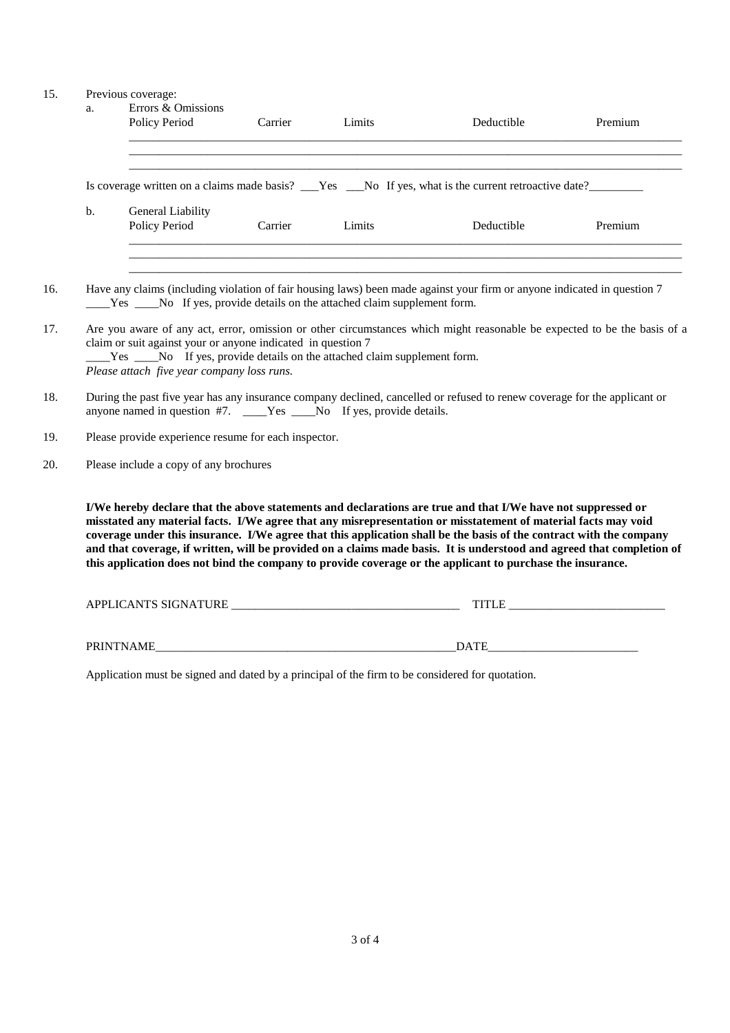## 15. Previous coverage:

|                | Errors & Omissions<br>Policy Period                                                                                      | Carrier | Limits | Deductible                                                                                                                                                                                                                                                                                                                                                      | Premium |  |  |
|----------------|--------------------------------------------------------------------------------------------------------------------------|---------|--------|-----------------------------------------------------------------------------------------------------------------------------------------------------------------------------------------------------------------------------------------------------------------------------------------------------------------------------------------------------------------|---------|--|--|
|                |                                                                                                                          |         |        | ,我们也不会有什么。""我们的人,我们也不会有什么?""我们的人,我们也不会有什么?""我们的人,我们也不会有什么?""我们的人,我们也不会有什么?""我们的人                                                                                                                                                                                                                                                                                |         |  |  |
|                |                                                                                                                          |         |        | ,我们也不会有什么。""我们的人,我们也不会有什么?""我们的人,我们也不会有什么?""我们的人,我们也不会有什么?""我们的人,我们也不会有什么?""我们的人                                                                                                                                                                                                                                                                                |         |  |  |
| $\mathbf{b}$ . | General Liability<br>Policy Period                                                                                       | Carrier | Limits | Deductible                                                                                                                                                                                                                                                                                                                                                      | Premium |  |  |
|                |                                                                                                                          |         |        |                                                                                                                                                                                                                                                                                                                                                                 |         |  |  |
|                |                                                                                                                          |         |        | Have any claims (including violation of fair housing laws) been made against your firm or anyone indicated in question 7                                                                                                                                                                                                                                        |         |  |  |
|                | ____Yes _____No If yes, provide details on the attached claim supplement form.                                           |         |        |                                                                                                                                                                                                                                                                                                                                                                 |         |  |  |
|                | Are you aware of any act, error, omission or other circumstances which might reasonable be expected to be the basis of a |         |        |                                                                                                                                                                                                                                                                                                                                                                 |         |  |  |
|                | claim or suit against your or anyone indicated in question 7                                                             |         |        |                                                                                                                                                                                                                                                                                                                                                                 |         |  |  |
|                | Please attach five year company loss runs.                                                                               |         |        |                                                                                                                                                                                                                                                                                                                                                                 |         |  |  |
|                |                                                                                                                          |         |        |                                                                                                                                                                                                                                                                                                                                                                 |         |  |  |
|                |                                                                                                                          |         |        |                                                                                                                                                                                                                                                                                                                                                                 |         |  |  |
|                |                                                                                                                          |         |        | During the past five year has any insurance company declined, cancelled or refused to renew coverage for the applicant or                                                                                                                                                                                                                                       |         |  |  |
|                | anyone named in question #7. ____Yes ___No If yes, provide details.                                                      |         |        |                                                                                                                                                                                                                                                                                                                                                                 |         |  |  |
|                | Please provide experience resume for each inspector.                                                                     |         |        |                                                                                                                                                                                                                                                                                                                                                                 |         |  |  |
|                | Please include a copy of any brochures                                                                                   |         |        |                                                                                                                                                                                                                                                                                                                                                                 |         |  |  |
|                |                                                                                                                          |         |        |                                                                                                                                                                                                                                                                                                                                                                 |         |  |  |
|                |                                                                                                                          |         |        | I/We hereby declare that the above statements and declarations are true and that I/We have not suppressed or                                                                                                                                                                                                                                                    |         |  |  |
|                |                                                                                                                          |         |        | misstated any material facts. I/We agree that any misrepresentation or misstatement of material facts may void<br>coverage under this insurance. I/We agree that this application shall be the basis of the contract with the company<br>and that coverage, if written, will be provided on a claims made basis. It is understood and agreed that completion of |         |  |  |

| <b>ICANTS SIGNATURE</b><br><b>APPL</b><br>. TI U<br>$\cdot$ .<br>¬⊥<br>ىسد | . |
|----------------------------------------------------------------------------|---|
|                                                                            |   |

PRINTNAME\_\_\_\_\_\_\_\_\_\_\_\_\_\_\_\_\_\_\_\_\_\_\_\_\_\_\_\_\_\_\_\_\_\_\_\_\_\_\_\_\_\_\_\_\_\_\_\_\_\_DATE\_\_\_\_\_\_\_\_\_\_\_\_\_\_\_\_\_\_\_\_\_\_\_\_\_

Application must be signed and dated by a principal of the firm to be considered for quotation.